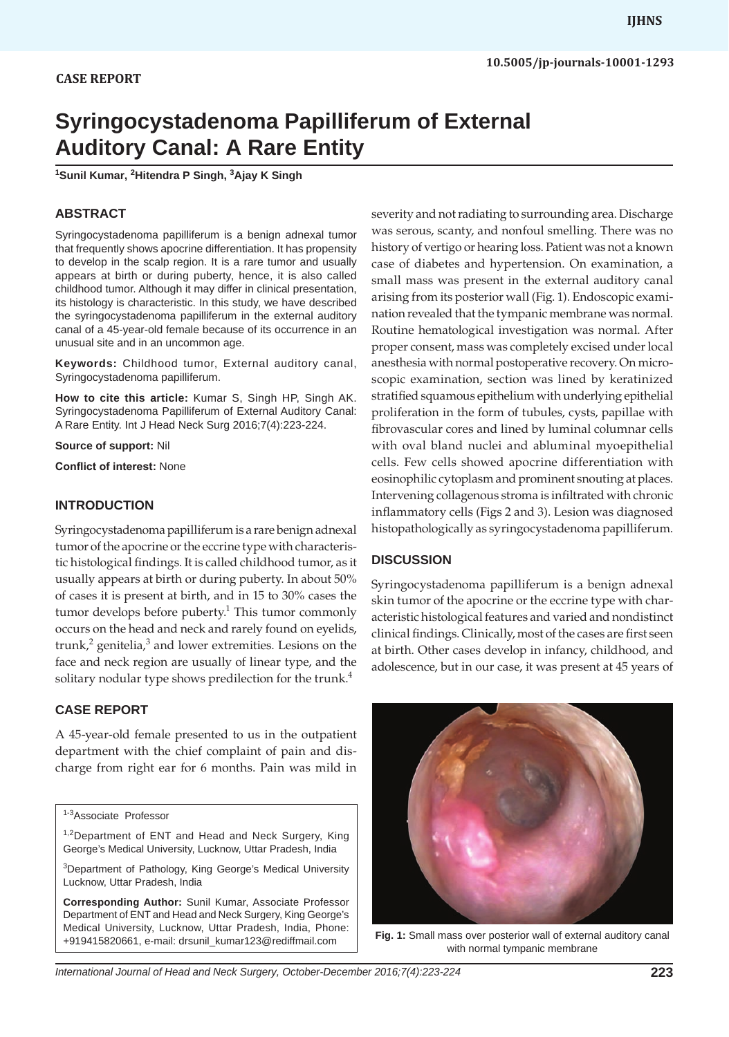# **Syringocystadenoma Papilliferum of External Auditory Canal: A Rare Entity**

**1 Sunil Kumar, 2 Hitendra P Singh, 3 Ajay K Singh**

# **ABSTRACT**

Syringocystadenoma papilliferum is a benign adnexal tumor that frequently shows apocrine differentiation. It has propensity to develop in the scalp region. It is a rare tumor and usually appears at birth or during puberty, hence, it is also called childhood tumor. Although it may differ in clinical presentation, its histology is characteristic. In this study, we have described the syringocystadenoma papilliferum in the external auditory canal of a 45-year-old female because of its occurrence in an unusual site and in an uncommon age.

**Keywords:** Childhood tumor, External auditory canal, Syringocystadenoma papilliferum.

**How to cite this article:** Kumar S, Singh HP, Singh AK. Syringocystadenoma Papilliferum of External Auditory Canal: A Rare Entity. Int J Head Neck Surg 2016;7(4):223-224.

**Source of support:** Nil

**Conflict of interest:** None

#### **INTRODUCTION**

Syringocystadenoma papilliferum is a rare benign adnexal tumor of the apocrine or the eccrine type with characteristic histological findings. It is called childhood tumor, as it usually appears at birth or during puberty. In about 50% of cases it is present at birth, and in 15 to 30% cases the tumor develops before puberty.<sup>1</sup> This tumor commonly occurs on the head and neck and rarely found on eyelids, trunk, $2$  genitelia, $3$  and lower extremities. Lesions on the face and neck region are usually of linear type, and the solitary nodular type shows predilection for the trunk.<sup>4</sup>

#### **CASE REPORT**

A 45-year-old female presented to us in the outpatient department with the chief complaint of pain and discharge from right ear for 6 months. Pain was mild in

<sup>1,2</sup>Department of ENT and Head and Neck Surgery, King George's Medical University, Lucknow, Uttar Pradesh, India

<sup>3</sup>Department of Pathology, King George's Medical University Lucknow, Uttar Pradesh, India

**Corresponding Author:** Sunil Kumar, Associate Professor Department of ENT and Head and Neck Surgery, King George's Medical University, Lucknow, Uttar Pradesh, India, Phone: +919415820661, e-mail: drsunil\_kumar123@rediffmail.com

severity and not radiating to surrounding area. Discharge was serous, scanty, and nonfoul smelling. There was no history of vertigo or hearing loss. Patient was not a known case of diabetes and hypertension. On examination, a small mass was present in the external auditory canal arising from its posterior wall (Fig. 1). Endoscopic examination revealed that the tympanic membrane was normal. Routine hematological investigation was normal. After proper consent, mass was completely excised under local anesthesia with normal postoperative recovery. On microscopic examination, section was lined by keratinized stratified squamous epithelium with underlying epithelial proliferation in the form of tubules, cysts, papillae with fibrovascular cores and lined by luminal columnar cells with oval bland nuclei and abluminal myoepithelial cells. Few cells showed apocrine differentiation with eosinophilic cytoplasm and prominent snouting at places. Intervening collagenous stroma is infiltrated with chronic inflammatory cells (Figs 2 and 3). Lesion was diagnosed histopathologically as syringocystadenoma papilliferum.

### **DISCUSSION**

Syringocystadenoma papilliferum is a benign adnexal skin tumor of the apocrine or the eccrine type with characteristic histological features and varied and nondistinct clinical findings. Clinically, most of the cases are first seen at birth. Other cases develop in infancy, childhood, and adolescence, but in our case, it was present at 45 years of



**Fig. 1:** Small mass over posterior wall of external auditory canal with normal tympanic membrane

<sup>1-3</sup>Associate Professor